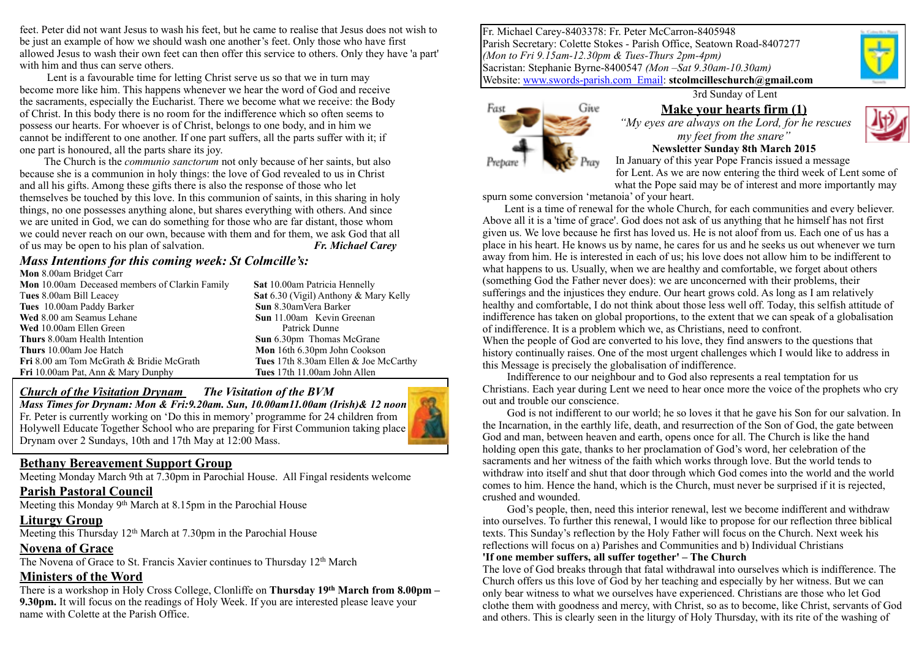feet. Peter did not want Jesus to wash his feet, but he came to realise that Jesus does not wish to be just an example of how we should wash one another's feet. Only those who have first allowed Jesus to wash their own feet can then offer this service to others. Only they have 'a part' with him and thus can serve others.

 Lent is a favourable time for letting Christ serve us so that we in turn may become more like him. This happens whenever we hear the word of God and receive the sacraments, especially the Eucharist. There we become what we receive: the Body of Christ. In this body there is no room for the indifference which so often seems to possess our hearts. For whoever is of Christ, belongs to one body, and in him we cannot be indifferent to one another. If one part suffers, all the parts suffer with it; if one part is honoured, all the parts share its joy.

 The Church is the *communio sanctorum* not only because of her saints, but also because she is a communion in holy things: the love of God revealed to us in Christ and all his gifts. Among these gifts there is also the response of those who let themselves be touched by this love. In this communion of saints, in this sharing in holy things, no one possesses anything alone, but shares everything with others. And since we are united in God, we can do something for those who are far distant, those whom we could never reach on our own, because with them and for them, we ask God that all of us may be open to his plan of salvation. *Fr. Michael Carey*

#### *Mass Intentions for this coming week: St Colmcille's:*

| Mon 8.00am Bridget Carr                               |                                       |
|-------------------------------------------------------|---------------------------------------|
| <b>Mon</b> 10.00am Deceased members of Clarkin Family | Sat 10.00am Patricia Hennelly         |
| Tues 8.00am Bill Leacey                               | Sat 6.30 (Vigil) Anthony & Mary Kelly |
| Tues 10.00am Paddy Barker                             | Sun 8.30amVera Barker                 |
| Wed 8.00 am Seamus Lehane                             | <b>Sun</b> 11.00am Kevin Greenan      |
| Wed 10.00am Ellen Green                               | Patrick Dunne                         |
| Thurs 8.00am Health Intention                         | <b>Sun</b> 6.30pm Thomas McGrane      |
| <b>Thurs</b> 10.00am Joe Hatch                        | Mon 16th 6.30pm John Cookson          |
| <b>Fri</b> 8.00 am Tom McGrath & Bridie McGrath       | Tues 17th 8.30am Ellen & Joe McCarthy |
| <b>Fri</b> 10.00am Pat, Ann & Mary Dunphy             | Tues 17th 11.00am John Allen          |
|                                                       |                                       |

#### *Church of the Visitation Drynam**The Visitation of the BVM*

*Mass Times for Drynam: Mon & Fri:9.20am. Sun, 10.00am11.00am (Irish)& 12 noon* Fr. Peter is currently working on 'Do this in memory' programme for 24 children from Holywell Educate Together School who are preparing for First Communion taking place Drynam over 2 Sundays, 10th and 17th May at 12:00 Mass.

#### **Bethany Bereavement Support Group**

Meeting Monday March 9th at 7.30pm in Parochial House. All Fingal residents welcome

#### **Parish Pastoral Council**

Meeting this Monday  $9<sup>th</sup>$  March at 8.15pm in the Parochial House

#### **Liturgy Group**

Meeting this Thursday 12<sup>th</sup> March at 7.30pm in the Parochial House

#### **Novena of Grace**

The Novena of Grace to St. Francis Xavier continues to Thursday 12<sup>th</sup> March

#### **Ministers of the Word**

There is a workshop in Holy Cross College, Clonliffe on **Thursday 19th March from 8.00pm – 9.30pm.** It will focus on the readings of Holy Week. If you are interested please leave your name with Colette at the Parish Office.

Fr. Michael Carey-8403378: Fr. Peter McCarron-8405948 Parish Secretary: Colette Stokes - Parish Office, Seatown Road-8407277 *(Mon to Fri 9.15am-12.30pm & Tues-Thurs 2pm-4pm)* Sacristan: Stephanie Byrne-8400547 *(Mon –Sat 9.30am-10.30am)*  Website: [www.swords-parish.com Email:](http://www.swords-parish.com%20%20email) **stcolmcilleschurch@gmail.com**

3rd Sunday of Lent



#### **Make your hearts firm (1)**   *"My eyes are always on the Lord, for he rescues my feet from the snare"*



**Newsletter Sunday 8th March 2015**  In January of this year Pope Francis issued a message for Lent. As we are now entering the third week of Lent some of what the Pope said may be of interest and more importantly may

spurn some conversion 'metanoia' of your heart.

 Lent is a time of renewal for the whole Church, for each communities and every believer. Above all it is a 'time of grace'. God does not ask of us anything that he himself has not first given us. We love because he first has loved us. He is not aloof from us. Each one of us has a place in his heart. He knows us by name, he cares for us and he seeks us out whenever we turn away from him. He is interested in each of us; his love does not allow him to be indifferent to what happens to us. Usually, when we are healthy and comfortable, we forget about others (something God the Father never does): we are unconcerned with their problems, their sufferings and the injustices they endure. Our heart grows cold. As long as I am relatively healthy and comfortable, I do not think about those less well off. Today, this selfish attitude of indifference has taken on global proportions, to the extent that we can speak of a globalisation of indifference. It is a problem which we, as Christians, need to confront. When the people of God are converted to his love, they find answers to the questions that

history continually raises. One of the most urgent challenges which I would like to address in this Message is precisely the globalisation of indifference.

 Indifference to our neighbour and to God also represents a real temptation for us Christians. Each year during Lent we need to hear once more the voice of the prophets who cry out and trouble our conscience.

 God is not indifferent to our world; he so loves it that he gave his Son for our salvation. In the Incarnation, in the earthly life, death, and resurrection of the Son of God, the gate between God and man, between heaven and earth, opens once for all. The Church is like the hand holding open this gate, thanks to her proclamation of God's word, her celebration of the sacraments and her witness of the faith which works through love. But the world tends to withdraw into itself and shut that door through which God comes into the world and the world comes to him. Hence the hand, which is the Church, must never be surprised if it is rejected, crushed and wounded.

 God's people, then, need this interior renewal, lest we become indifferent and withdraw into ourselves. To further this renewal, I would like to propose for our reflection three biblical texts. This Sunday's reflection by the Holy Father will focus on the Church. Next week his reflections will focus on a) Parishes and Communities and b) Individual Christians

#### **'If one member suffers, all suffer together' – The Church**

The love of God breaks through that fatal withdrawal into ourselves which is indifference. The Church offers us this love of God by her teaching and especially by her witness. But we can only bear witness to what we ourselves have experienced. Christians are those who let God clothe them with goodness and mercy, with Christ, so as to become, like Christ, servants of God and others. This is clearly seen in the liturgy of Holy Thursday, with its rite of the washing of